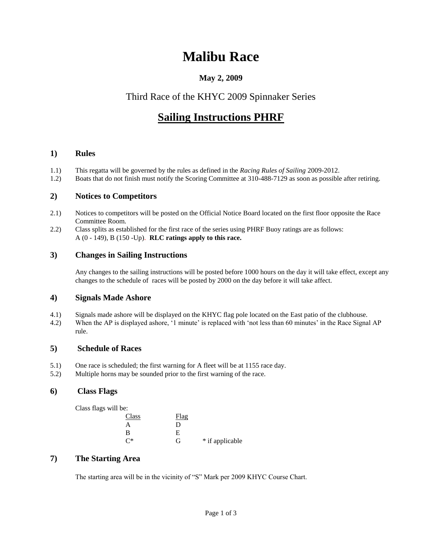# **Malibu Race**

## **May 2, 2009**

## Third Race of the KHYC 2009 Spinnaker Series

# **Sailing Instructions PHRF**

## **1) Rules**

- 1.1) This regatta will be governed by the rules as defined in the *Racing Rules of Sailing* 2009-2012.
- 1.2) Boats that do not finish must notify the Scoring Committee at 310-488-7129 as soon as possible after retiring.

## **2) Notices to Competitors**

- 2.1) Notices to competitors will be posted on the Official Notice Board located on the first floor opposite the Race Committee Room.
- 2.2) Class splits as established for the first race of the series using PHRF Buoy ratings are as follows: A (0 - 149), B (150 -Up). **RLC ratings apply to this race.**

## **3) Changes in Sailing Instructions**

Any changes to the sailing instructions will be posted before 1000 hours on the day it will take effect, except any changes to the schedule of races will be posted by 2000 on the day before it will take affect.

## **4) Signals Made Ashore**

- 4.1) Signals made ashore will be displayed on the KHYC flag pole located on the East patio of the clubhouse.
- 4.2) When the AP is displayed ashore, '1 minute' is replaced with 'not less than 60 minutes' in the Race Signal AP rule.

## **5) Schedule of Races**

- 5.1) One race is scheduled; the first warning for A fleet will be at 1155 race day.
- 5.2) Multiple horns may be sounded prior to the first warning of the race.

## **6) Class Flags**

Class flags will be:

| Class | Flag |                 |
|-------|------|-----------------|
| А     | D    |                 |
| в     | E    |                 |
| ∩*    | G    | * if applicable |

## **7) The Starting Area**

The starting area will be in the vicinity of "S" Mark per 2009 KHYC Course Chart.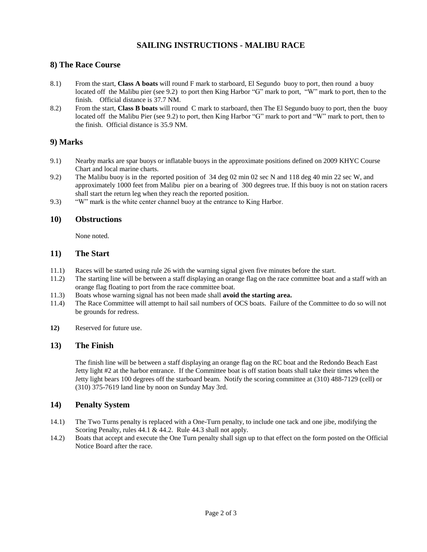### **SAILING INSTRUCTIONS - MALIBU RACE**

#### **8) The Race Course**

- 8.1) From the start, **Class A boats** will round F mark to starboard, El Segundo buoy to port, then round a buoy located off the Malibu pier (see 9.2) to port then King Harbor "G" mark to port, "W" mark to port, then to the finish. Official distance is 37.7 NM.
- 8.2) From the start, **Class B boats** will round C mark to starboard, then The El Segundo buoy to port, then the buoy located off the Malibu Pier (see 9.2) to port, then King Harbor "G" mark to port and "W" mark to port, then to the finish. Official distance is 35.9 NM.

#### **9) Marks**

- 9.1) Nearby marks are spar buoys or inflatable buoys in the approximate positions defined on 2009 KHYC Course Chart and local marine charts.
- 9.2) The Malibu buoy is in the reported position of 34 deg 02 min 02 sec N and 118 deg 40 min 22 sec W, and approximately 1000 feet from Malibu pier on a bearing of 300 degrees true. If this buoy is not on station racers shall start the return leg when they reach the reported position.
- 9.3) "W" mark is the white center channel buoy at the entrance to King Harbor.

#### **10) Obstructions**

None noted.

#### **11) The Start**

- 11.1) Races will be started using rule 26 with the warning signal given five minutes before the start.
- 11.2) The starting line will be between a staff displaying an orange flag on the race committee boat and a staff with an orange flag floating to port from the race committee boat.
- 11.3) Boats whose warning signal has not been made shall **avoid the starting area.**
- 11.4) The Race Committee will attempt to hail sail numbers of OCS boats. Failure of the Committee to do so will not be grounds for redress.
- **12)** Reserved for future use.

#### **13) The Finish**

The finish line will be between a staff displaying an orange flag on the RC boat and the Redondo Beach East Jetty light #2 at the harbor entrance. If the Committee boat is off station boats shall take their times when the Jetty light bears 100 degrees off the starboard beam. Notify the scoring committee at (310) 488-7129 (cell) or (310) 375-7619 land line by noon on Sunday May 3rd.

#### **14) Penalty System**

- 14.1) The Two Turns penalty is replaced with a One-Turn penalty, to include one tack and one jibe, modifying the Scoring Penalty, rules 44.1 & 44.2. Rule 44.3 shall not apply.
- 14.2) Boats that accept and execute the One Turn penalty shall sign up to that effect on the form posted on the Official Notice Board after the race.